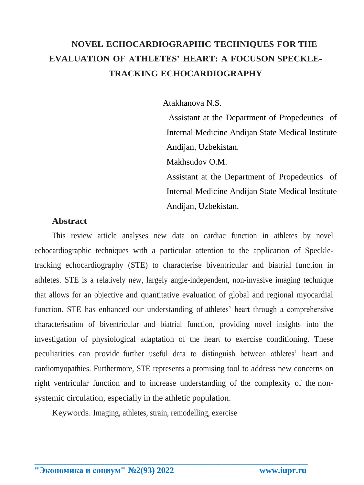# **NOVEL ECHOCARDIOGRAPHIC TECHNIQUES FOR THE EVALUATION OF ATHLETES' HEART: A FOCUSON SPECKLE-TRACKING ECHOCARDIOGRAPHY**

Atakhanova N.S.

Assistant at the Department of Propedeutics of Internal Medicine Andijan State Medical Institute Andijan, Uzbekistan.

Makhsudov O.M.

Assistant at the Department of Propedeutics of Internal Medicine Andijan State Medical Institute Andijan, Uzbekistan.

## **Abstract**

This review article analyses new data on cardiac function in athletes by novel echocardiographic techniques with a particular attention to the application of Speckletracking echocardiography (STE) to characterise biventricular and biatrial function in athletes. STE is a relatively new, largely angle-independent, non-invasive imaging technique that allows for an objective and quantitative evaluation of global and regional myocardial function. STE has enhanced our understanding of athletes' heart through a comprehensive characterisation of biventricular and biatrial function, providing novel insights into the investigation of physiological adaptation of the heart to exercise conditioning. These peculiarities can provide further useful data to distinguish between athletes' heart and cardiomyopathies. Furthermore, STE represents a promising tool to address new concerns on right ventricular function and to increase understanding of the complexity of the nonsystemic circulation, especially in the athletic population.

Keywords. Imaging, athletes, strain, remodelling, exercise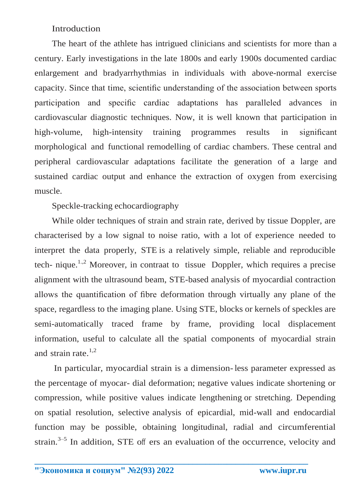### Introduction

The heart of the athlete has intrigued clinicians and scientists for more than a century. Early investigations in the late 1800s and early 1900s documented cardiac enlargement and bradyarrhythmias in individuals with above-normal exercise capacity. Since that time, scientific understanding of the association between sports participation and specific cardiac adaptations has paralleled advances in cardiovascular diagnostic techniques. Now, it is well known that participation in high-volume, high-intensity training programmes results in significant morphological and functional remodelling of cardiac chambers. These central and peripheral cardiovascular adaptations facilitate the generation of a large and sustained cardiac output and enhance the extraction of oxygen from exercising muscle.

Speckle-tracking echocardiography

While older techniques of strain and strain rate, derived by tissue Doppler, are characterised by a low signal to noise ratio, with a lot of experience needed to interpret the data properly, STE is a relatively simple, reliable and reproducible tech- nique.<sup>1.,2</sup> Moreover, in contraat to tissue Doppler, which requires a precise alignment with the ultrasound beam, STE-based analysis of myocardial contraction allows the quantification of fibre deformation through virtually any plane of the space, regardless to the imaging plane. Using STE, blocks or kernels of speckles are semi-automatically traced frame by frame, providing local displacement information, useful to calculate all the spatial components of myocardial strain and strain rate. $1,2$ 

In particular, myocardial strain is a dimension-less parameter expressed as the percentage of myocar- dial deformation; negative values indicate shortening or compression, while positive values indicate lengthening or stretching. Depending on spatial resolution, selective analysis of epicardial, mid-wall and endocardial function may be possible, obtaining longitudinal, radial and circumferential strain.<sup>3–5</sup> In addition, STE off ers an evaluation of the occurrence, velocity and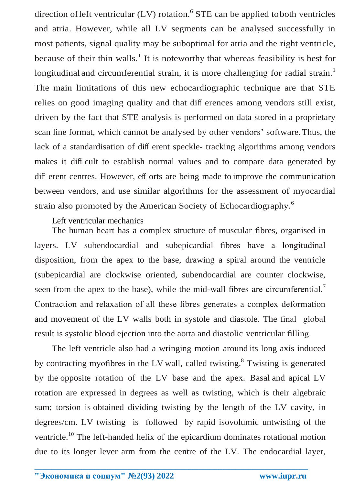direction of left ventricular  $(LV)$  rotation.<sup>6</sup> STE can be applied to both ventricles and atria. However, while all LV segments can be analysed successfully in most patients, signal quality may be suboptimal for atria and the right ventricle, because of their thin walls.<sup>1</sup> It is noteworthy that whereas feasibility is best for longitudinal and circumferential strain, it is more challenging for radial strain.<sup>1</sup> The main limitations of this new echocardiographic technique are that STE relies on good imaging quality and that diff erences among vendors still exist, driven by the fact that STE analysis is performed on data stored in a proprietary scan line format, which cannot be analysed by other vendors' software.Thus, the lack of a standardisation of diff erent speckle- tracking algorithms among vendors makes it diffi cult to establish normal values and to compare data generated by diff erent centres. However, eff orts are being made to improve the communication between vendors, and use similar algorithms for the assessment of myocardial strain also promoted by the American Society of Echocardiography.<sup>6</sup>

#### Left ventricular mechanics

The human heart has a complex structure of muscular fibres, organised in layers. LV subendocardial and subepicardial fibres have a longitudinal disposition, from the apex to the base, drawing a spiral around the ventricle (subepicardial are clockwise oriented, subendocardial are counter clockwise, seen from the apex to the base), while the mid-wall fibres are circumferential.<sup>7</sup> Contraction and relaxation of all these fibres generates a complex deformation and movement of the LV walls both in systole and diastole. The final global result is systolic blood ejection into the aorta and diastolic ventricular filling.

The left ventricle also had a wringing motion around its long axis induced by contracting myofibres in the LV wall, called twisting.<sup>8</sup> Twisting is generated by the opposite rotation of the LV base and the apex. Basal and apical LV rotation are expressed in degrees as well as twisting, which is their algebraic sum; torsion is obtained dividing twisting by the length of the LV cavity, in degrees/cm. LV twisting is followed by rapid isovolumic untwisting of the ventricle.<sup>10</sup> The left-handed helix of the epicardium dominates rotational motion due to its longer lever arm from the centre of the LV. The endocardial layer,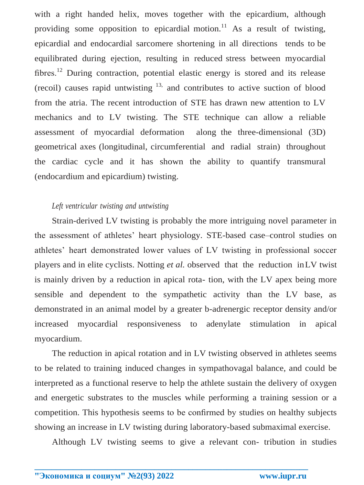with a right handed helix, moves together with the epicardium, although providing some opposition to epicardial motion.<sup>11</sup> As a result of twisting, epicardial and endocardial sarcomere shortening in all directions tends to be equilibrated during ejection, resulting in reduced stress between myocardial fibres.<sup>12</sup> During contraction, potential elastic energy is stored and its release (recoil) causes rapid untwisting  $13$ , and contributes to active suction of blood from the atria. The recent introduction of STE has drawn new attention to LV mechanics and to LV twisting. The STE technique can allow a reliable assessment of myocardial deformation along the three-dimensional (3D) geometrical axes (longitudinal, circumferential and radial strain) throughout the cardiac cycle and it has shown the ability to quantify transmural (endocardium and epicardium) twisting.

#### *Left ventricular twisting and untwisting*

Strain-derived LV twisting is probably the more intriguing novel parameter in the assessment of athletes' heart physiology. STE-based case–control studies on athletes' heart demonstrated lower values of LV twisting in professional soccer players and in elite cyclists. Notting *et al.* observed that the reduction inLV twist is mainly driven by a reduction in apical rota- tion, with the LV apex being more sensible and dependent to the sympathetic activity than the LV base, as demonstrated in an animal model by a greater b-adrenergic receptor density and/or increased myocardial responsiveness to adenylate stimulation in apical myocardium.

The reduction in apical rotation and in LV twisting observed in athletes seems to be related to training induced changes in sympathovagal balance, and could be interpreted as a functional reserve to help the athlete sustain the delivery of oxygen and energetic substrates to the muscles while performing a training session or a competition. This hypothesis seems to be confirmed by studies on healthy subjects showing an increase in LV twisting during laboratory-based submaximal exercise.

Although LV twisting seems to give a relevant con- tribution in studies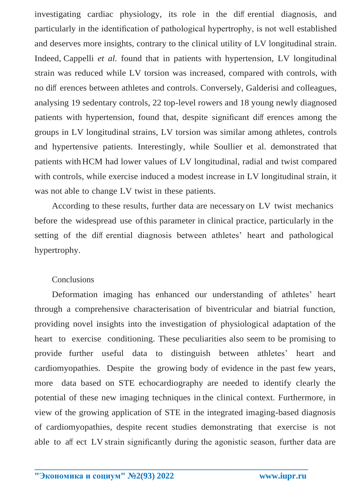investigating cardiac physiology, its role in the diff erential diagnosis, and particularly in the identification of pathological hypertrophy, is not well established and deserves more insights, contrary to the clinical utility of LV longitudinal strain. Indeed, Cappelli *et al.* found that in patients with hypertension, LV longitudinal strain was reduced while LV torsion was increased, compared with controls, with no diff erences between athletes and controls. Conversely, Galderisi and colleagues, analysing 19 sedentary controls, 22 top-level rowers and 18 young newly diagnosed patients with hypertension, found that, despite significant diff erences among the groups in LV longitudinal strains, LV torsion was similar among athletes, controls and hypertensive patients. Interestingly, while Soullier et al. demonstrated that patients withHCM had lower values of LV longitudinal, radial and twist compared with controls, while exercise induced a modest increase in LV longitudinal strain, it was not able to change LV twist in these patients.

According to these results, further data are necessary on LV twist mechanics before the widespread use ofthis parameter in clinical practice, particularly in the setting of the diff erential diagnosis between athletes' heart and pathological hypertrophy.

#### **Conclusions**

Deformation imaging has enhanced our understanding of athletes' heart through a comprehensive characterisation of biventricular and biatrial function, providing novel insights into the investigation of physiological adaptation of the heart to exercise conditioning. These peculiarities also seem to be promising to provide further useful data to distinguish between athletes' heart and cardiomyopathies. Despite the growing body of evidence in the past few years, more data based on STE echocardiography are needed to identify clearly the potential of these new imaging techniques in the clinical context. Furthermore, in view of the growing application of STE in the integrated imaging-based diagnosis of cardiomyopathies, despite recent studies demonstrating that exercise is not able to aff ect LV strain significantly during the agonistic season, further data are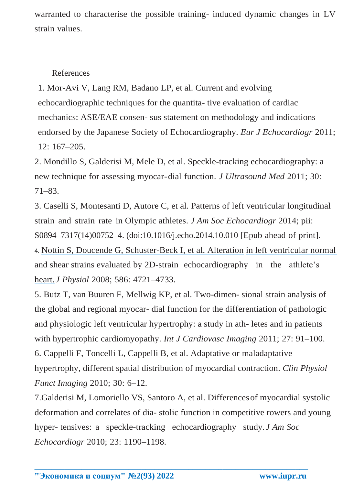warranted to characterise the possible training- induced dynamic changes in LV strain values.

## References

1. Mor-Avi V, Lang RM, Badano LP, et al. Current and evolving echocardiographic techniques for the quantita- tive evaluation of cardiac mechanics: ASE/EAE consen- sus statement on methodology and indications endorsed by the Japanese Society of Echocardiography. *Eur J Echocardiogr* 2011; 12: 167–205.

2. Mondillo S, Galderisi M, Mele D, et al. Speckle-tracking echocardiography: a new technique for assessing myocar-dial function. *J Ultrasound Med* 2011; 30: 71–83.

3. Caselli S, Montesanti D, Autore C, et al. Patterns of left ventricular longitudinal strain and strain rate in Olympic athletes. *J Am Soc Echocardiogr* 2014; pii: S0894–7317(14)00752–4. (doi:10.1016/j.echo.2014.10.010 [Epub ahead of print]. 4. [Nottin S, Doucende G, Schuster-Beck I, et al. Alteration](https://www.researchgate.net/publication/23156518_Alteration_in_left_ventricular_normal_and_shear_strains_evaluated_by_2D-strain_echocardiography_in_the_athlete%27s_heart?el=1_x_8&enrichId=rgreq-324f79f5-a63c-470f-988f-ef572af03557&enrichSource=Y292ZXJQYWdlOzI3NzAyMTEyMTtBUzoyMzE5OTEzMjA3NzI2MDhAMTQzMjMyMjQ0OTUxNg%3D%3D) [in left ventricular normal](https://www.researchgate.net/publication/23156518_Alteration_in_left_ventricular_normal_and_shear_strains_evaluated_by_2D-strain_echocardiography_in_the_athlete%27s_heart?el=1_x_8&enrichId=rgreq-324f79f5-a63c-470f-988f-ef572af03557&enrichSource=Y292ZXJQYWdlOzI3NzAyMTEyMTtBUzoyMzE5OTEzMjA3NzI2MDhAMTQzMjMyMjQ0OTUxNg%3D%3D)  [and shear strains evaluated by](https://www.researchgate.net/publication/23156518_Alteration_in_left_ventricular_normal_and_shear_strains_evaluated_by_2D-strain_echocardiography_in_the_athlete%27s_heart?el=1_x_8&enrichId=rgreq-324f79f5-a63c-470f-988f-ef572af03557&enrichSource=Y292ZXJQYWdlOzI3NzAyMTEyMTtBUzoyMzE5OTEzMjA3NzI2MDhAMTQzMjMyMjQ0OTUxNg%3D%3D) [2D-strain echocardiography in the athlete's](https://www.researchgate.net/publication/23156518_Alteration_in_left_ventricular_normal_and_shear_strains_evaluated_by_2D-strain_echocardiography_in_the_athlete%27s_heart?el=1_x_8&enrichId=rgreq-324f79f5-a63c-470f-988f-ef572af03557&enrichSource=Y292ZXJQYWdlOzI3NzAyMTEyMTtBUzoyMzE5OTEzMjA3NzI2MDhAMTQzMjMyMjQ0OTUxNg%3D%3D)  [heart.](https://www.researchgate.net/publication/23156518_Alteration_in_left_ventricular_normal_and_shear_strains_evaluated_by_2D-strain_echocardiography_in_the_athlete%27s_heart?el=1_x_8&enrichId=rgreq-324f79f5-a63c-470f-988f-ef572af03557&enrichSource=Y292ZXJQYWdlOzI3NzAyMTEyMTtBUzoyMzE5OTEzMjA3NzI2MDhAMTQzMjMyMjQ0OTUxNg%3D%3D)*J Physiol* 2008; 586: 4721–4733.

5. Butz T, van Buuren F, Mellwig KP, et al. Two-dimen- sional strain analysis of the global and regional myocar- dial function for the differentiation of pathologic and physiologic left ventricular hypertrophy: a study in ath- letes and in patients with hypertrophic cardiomyopathy. *Int J Cardiovasc Imaging* 2011; 27: 91–100. 6. Cappelli F, Toncelli L, Cappelli B, et al. Adaptative or maladaptative hypertrophy, different spatial distribution of myocardial contraction. *Clin Physiol Funct Imaging* 2010; 30: 6–12.

7.Galderisi M, Lomoriello VS, Santoro A, et al. Differencesof myocardial systolic deformation and correlates of dia- stolic function in competitive rowers and young hyper- tensives: a speckle-tracking echocardiography study. *J Am Soc Echocardiogr* 2010; 23: 1190–1198.